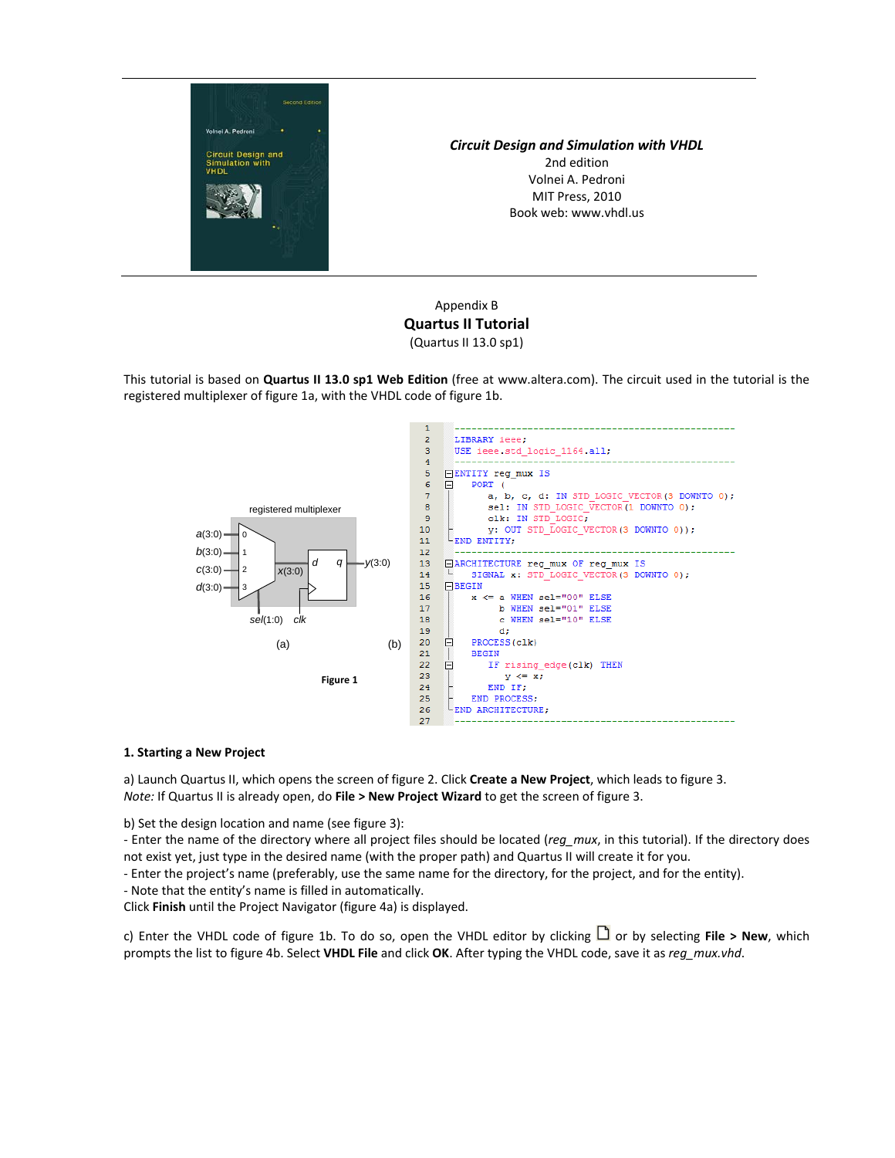

# *Circuit Design and Simulation with VHDL*

2nd edition Volnei A. Pedroni MIT Press, 2010 Book web: www.vhdl.us

# Appendix B **Quartus II Tutorial** (Quartus II 13.0 sp1)

This tutorial is based on **Quartus II 13.0 sp1 Web Edition** (free at www.altera.com). The circuit used in the tutorial is the registered multiplexer of figure 1a, with the VHDL code of figure 1b.



# **1. Starting a New Project**

a) Launch Quartus II, which opens the screen of figure 2. Click **Create a New Project**, which leads to figure 3. *Note:* If Quartus II is already open, do **File > New Project Wizard** to get the screen of figure 3.

b) Set the design location and name (see figure 3):

‐ Enter the name of the directory where all project files should be located (*reg\_mux*, in this tutorial). If the directory does not exist yet, just type in the desired name (with the proper path) and Quartus II will create it for you.

- ‐ Enter the project's name (preferably, use the same name for the directory, for the project, and for the entity).
- ‐ Note that the entity's name is filled in automatically.

Click **Finish** until the Project Navigator (figure 4a) is displayed.

c) Enter the VHDL code of figure 1b. To do so, open the VHDL editor by clicking  $\Box$  or by selecting **File > New**, which prompts the list to figure 4b. Select **VHDL File** and click **OK**. After typing the VHDL code, save it as *reg\_mux.vhd*.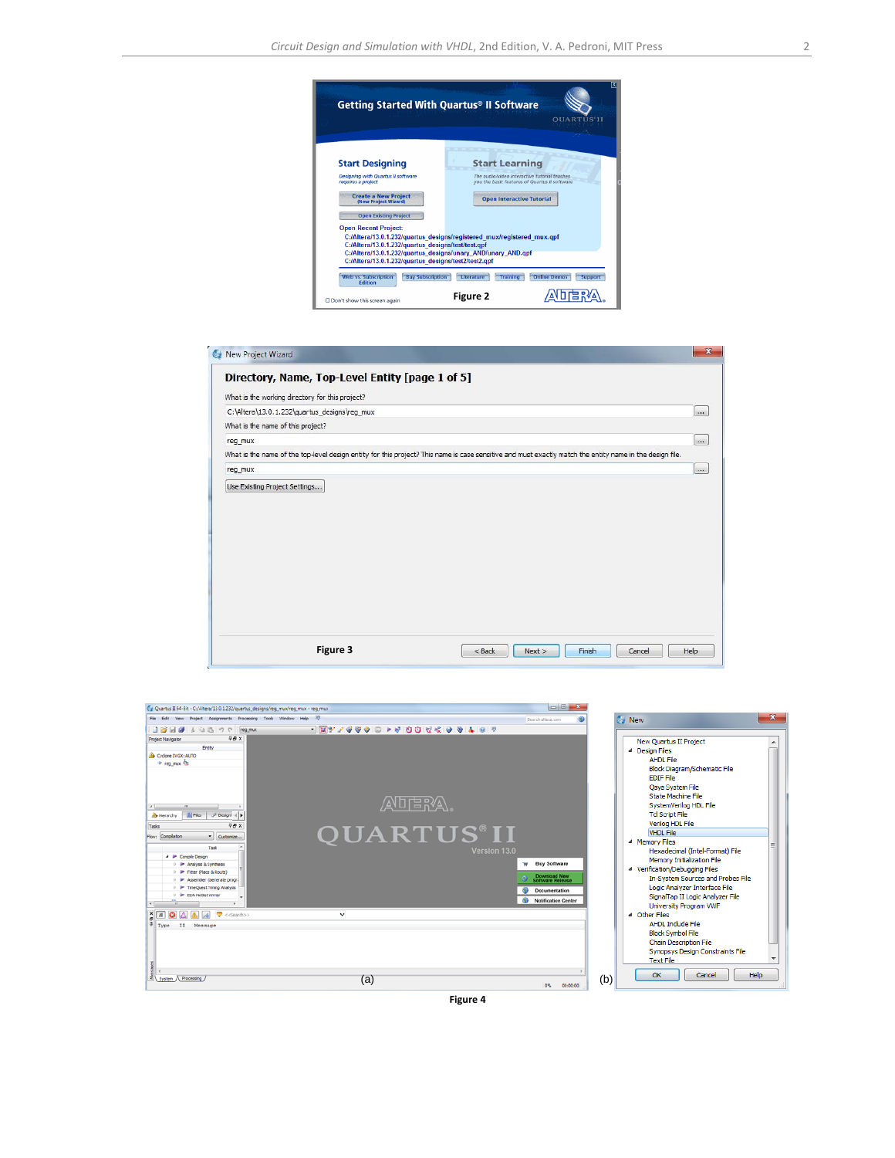

|                                                 | Directory, Name, Top-Level Entity [page 1 of 5] |                                                                                                                                                          |          |
|-------------------------------------------------|-------------------------------------------------|----------------------------------------------------------------------------------------------------------------------------------------------------------|----------|
| What is the working directory for this project? |                                                 |                                                                                                                                                          |          |
| C:\Altera\13.0.1.232\quartus_designs\reg_mux    |                                                 |                                                                                                                                                          | $\cdots$ |
| What is the name of this project?               |                                                 |                                                                                                                                                          |          |
| reg_mux                                         |                                                 |                                                                                                                                                          | $\cdots$ |
|                                                 |                                                 | What is the name of the top-level design entity for this project? This name is case sensitive and must exactly match the entity name in the design file. |          |
| reg_mux                                         |                                                 |                                                                                                                                                          | (x, y)   |
|                                                 |                                                 |                                                                                                                                                          |          |
|                                                 |                                                 |                                                                                                                                                          |          |



**Figure 4**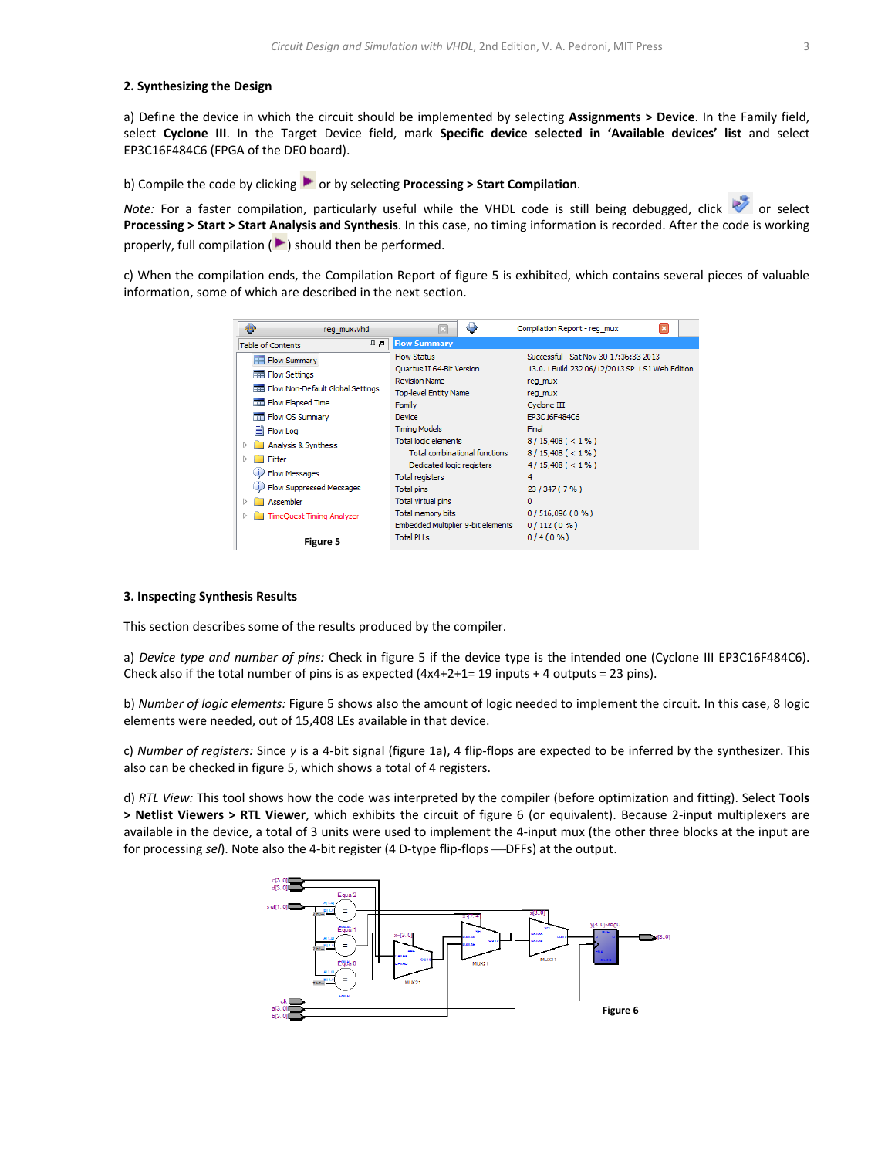## **2. Synthesizing the Design**

a) Define the device in which the circuit should be implemented by selecting **Assignments > Device**. In the Family field, select **Cyclone III**. In the Target Device field, mark **Specific device selected in 'Available devices' list** and select EP3C16F484C6 (FPGA of the DE0 board).

b) Compile the code by clicking  $\bullet$  or by selecting **Processing** > **Start Compilation**.

*Note:* For a faster compilation, particularly useful while the VHDL code is still being debugged, click or select **Processing > Start > Start Analysis and Synthesis**. In this case, no timing information is recorded. After the code is working properly, full compilation  $(\blacktriangleright)$  should then be performed.

c) When the compilation ends, the Compilation Report of figure 5 is exhibited, which contains several pieces of valuable information, some of which are described in the next section.

| reg mux.vhd                           | ٠                                    | ×<br>Compilation Report - reg mux               |
|---------------------------------------|--------------------------------------|-------------------------------------------------|
| 무 문.<br><b>Table of Contents</b>      | <b>Flow Summary</b>                  |                                                 |
| Flow Summary                          | <b>Flow Status</b>                   | Successful - Sat Nov 30 17:36:33 2013           |
| <b>Flow Settings</b><br>m             | Quartus II 64-Bit Version            | 13.0.1 Build 232 06/12/2013 SP 1 SJ Web Edition |
| Fig. Flow Non-Default Global Settings | <b>Revision Name</b>                 | reg_mux                                         |
|                                       | <b>Top-level Entity Name</b>         | reg_mux                                         |
| <b>Flow Elapsed Time</b>              | Family                               | Cyclone III                                     |
| Flow OS Summary<br>===                | Device                               | EP3C16F484C6                                    |
| Ħ<br>Flow Log                         | <b>Timing Models</b>                 | Final                                           |
| Analysis & Synthesis                  | <b>Total logic elements</b>          | $8/15,408 (< 1\% )$                             |
| Fitter<br>ь                           | <b>Total combinational functions</b> | $8/15,408 (< 1\% )$                             |
|                                       | Dedicated logic registers            | $4/15,408 (< 1\% )$                             |
| <b>Flow Messages</b>                  | <b>Total registers</b>               | 4                                               |
| Flow Suppressed Messages              | <b>Total pins</b>                    | 23 / 347 (7 %)                                  |
| Assembler                             | Total virtual pins                   | o                                               |
| <b>TimeQuest Timing Analyzer</b><br>▷ | <b>Total memory bits</b>             | $0/516,096(0\%)$                                |
|                                       | Embedded Multiplier 9-bit elements   | 0/112(0%                                        |
| <b>Figure 5</b>                       | <b>Total PLLs</b>                    | $0/4(0\%)$                                      |

#### **3. Inspecting Synthesis Results**

This section describes some of the results produced by the compiler.

a) *Device type and number of pins:* Check in figure 5 if the device type is the intended one (Cyclone III EP3C16F484C6). Check also if the total number of pins is as expected  $(4x4+2+1= 19$  inputs + 4 outputs = 23 pins).

b) *Number of logic elements:* Figure 5 shows also the amount of logic needed to implement the circuit. In this case, 8 logic elements were needed, out of 15,408 LEs available in that device.

c) *Number of registers:* Since *y* is a 4‐bit signal (figure 1a), 4 flip‐flops are expected to be inferred by the synthesizer. This also can be checked in figure 5, which shows a total of 4 registers.

d) *RTL View:* This tool shows how the code was interpreted by the compiler (before optimization and fitting). Select **Tools > Netlist Viewers > RTL Viewer**, which exhibits the circuit of figure 6 (or equivalent). Because 2‐input multiplexers are available in the device, a total of 3 units were used to implement the 4‐input mux (the other three blocks at the input are for processing *sel*). Note also the 4-bit register (4 D-type flip-flops —DFFs) at the output.

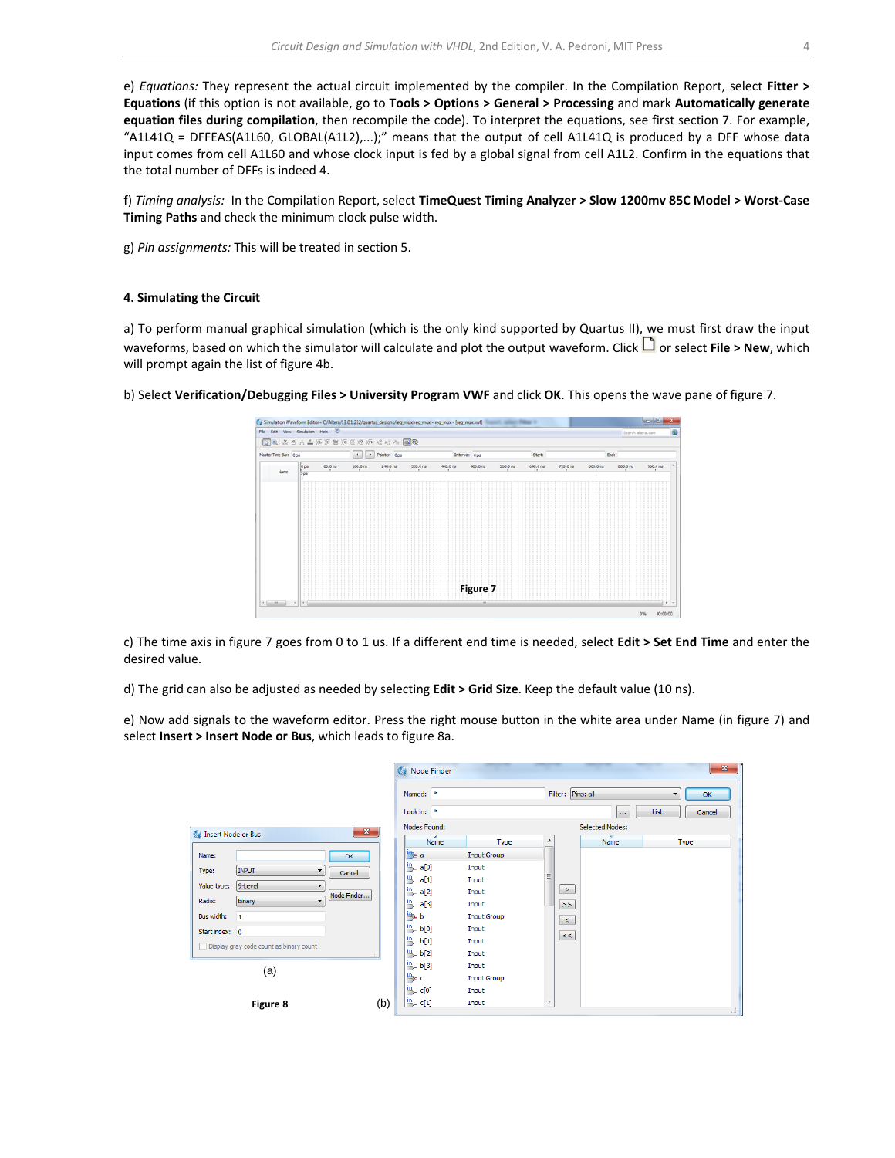e) *Equations:* They represent the actual circuit implemented by the compiler. In the Compilation Report, select **Fitter > Equations** (if this option is not available, go to **Tools > Options > General > Processing** and mark **Automatically generate equation files during compilation**, then recompile the code). To interpret the equations, see first section 7. For example, "A1L41Q = DFFEAS(A1L60, GLOBAL(A1L2),...);" means that the output of cell A1L41Q is produced by a DFF whose data input comes from cell A1L60 and whose clock input is fed by a global signal from cell A1L2. Confirm in the equations that the total number of DFFs is indeed 4.

f) *Timing analysis:* In the Compilation Report, select **TimeQuest Timing Analyzer > Slow 1200mv 85C Model > Worst‐Case Timing Paths** and check the minimum clock pulse width.

g) *Pin assignments:* This will be treated in section 5.

#### **4. Simulating the Circuit**

a) To perform manual graphical simulation (which is the only kind supported by Quartus II), we must first draw the input waveforms, based on which the simulator will calculate and plot the output waveform. Click  $\Box$  or select **File > New**, which will prompt again the list of figure 4b.

b) Select **Verification/Debugging Files > University Program VWF** and click **OK**. This opens the wave pane of figure 7.

| File Edit                                           | View Smulation Help (D) |                    |           |                                        |          |          |                |          |          |          |          | Search altera.com |                |
|-----------------------------------------------------|-------------------------|--------------------|-----------|----------------------------------------|----------|----------|----------------|----------|----------|----------|----------|-------------------|----------------|
|                                                     |                         |                    |           | 图 2 系 8 人 五 73 返 盟 76 返 12 78 2 没 2 国際 |          |          |                |          |          |          |          |                   |                |
| Master Time Bar: 0 ps                               |                         |                    | $\bullet$ | Pointer: 0ps                           |          |          | Interval: 0ps  |          | Start:   |          | End:     |                   |                |
| Name                                                | 0 <sub>ps</sub>         | 80.0 <sub>ms</sub> | 160.0 ns  | 240.0 <sub>rs</sub>                    | 320.0 ns | 400.0 ms | 480.0 ms       | 560.0 ns | 640.0 ns | 720.0 ns | 800.0 ms | 880.0 ns          | 960.0 ns       |
|                                                     | <b>Dos</b>              |                    |           |                                        |          |          |                |          |          |          |          |                   |                |
|                                                     |                         |                    |           |                                        |          |          |                |          |          |          |          |                   |                |
|                                                     |                         |                    |           |                                        |          |          |                |          |          |          |          |                   |                |
|                                                     |                         |                    |           |                                        |          |          |                |          |          |          |          |                   |                |
|                                                     |                         |                    |           |                                        |          |          |                |          |          |          |          |                   |                |
|                                                     |                         |                    |           |                                        |          |          |                |          |          |          |          |                   |                |
|                                                     |                         |                    |           |                                        |          |          |                |          |          |          |          |                   |                |
|                                                     |                         |                    |           |                                        |          |          |                |          |          |          |          |                   |                |
|                                                     |                         |                    |           |                                        |          |          |                |          |          |          |          |                   |                |
|                                                     |                         |                    |           |                                        |          |          |                |          |          |          |          |                   |                |
|                                                     |                         |                    |           |                                        |          |          |                |          |          |          |          |                   |                |
|                                                     |                         |                    |           |                                        |          |          |                |          |          |          |          |                   |                |
|                                                     |                         |                    |           |                                        |          |          |                |          |          |          |          |                   |                |
|                                                     |                         |                    |           |                                        |          |          | Figure 7       |          |          |          |          |                   |                |
|                                                     |                         |                    |           |                                        |          |          |                |          |          |          |          |                   |                |
| $\mathbf{r} = \mathbf{m} + \mathbf{r} + \mathbf{r}$ |                         |                    |           |                                        |          |          | $\overline{a}$ |          |          |          |          |                   |                |
|                                                     |                         |                    |           |                                        |          |          |                |          |          |          |          |                   | 0%<br>00:00:00 |

c) The time axis in figure 7 goes from 0 to 1 us. If a different end time is needed, select **Edit > Set End Time** and enter the desired value.

d) The grid can also be adjusted as needed by selecting **Edit > Grid Size**. Keep the default value (10 ns).

e) Now add signals to the waveform editor. Press the right mouse button in the white area under Name (in figure 7) and select **Insert > Insert Node or Bus**, which leads to figure 8a.

|                                              |     | 69<br>Node Finder      |                    | $\mathbf{x}$                                               |
|----------------------------------------------|-----|------------------------|--------------------|------------------------------------------------------------|
|                                              |     | Named: *<br>Look in: * |                    | Filter: Pins: all<br>OK<br>▼<br>List<br>Cancel<br>$\cdots$ |
| $\mathbf{x}$<br>Insert Node or Bus           |     | Nodes Found:           |                    | <b>Selected Nodes:</b>                                     |
|                                              |     | Name                   | Type               | A<br>Name<br>Type                                          |
| Name:<br>OK                                  |     | lle al                 | <b>Input Group</b> |                                                            |
| <b>INPUT</b><br>Type:<br>Cancel              |     | <sup>in</sup> a[0]     | Input              |                                                            |
| 9-Level<br>Value type:<br>▼                  |     | <mark>当. a[1]</mark>   | Input              |                                                            |
| Node Finder                                  |     | l <u>n</u> a[2]        | Input              | ≥.                                                         |
| Binary<br>$\overline{\phantom{a}}$<br>Radix: |     | <b>B</b> _a[3]         | Input              | $\rightarrow$                                              |
| Bus width:<br>$\mathbf{1}$                   |     | $\rightarrow b$        | <b>Input Group</b> | $\prec$                                                    |
| Start index: 0                               |     | $\frac{ln}{2}$ b[0]    | Input              | $\lt$                                                      |
| Display gray code count as binary count      |     | L b[1]                 | Input              |                                                            |
|                                              |     | $h$ b[2]               | Input              |                                                            |
| (a)                                          |     | b[3]                   | Input              |                                                            |
|                                              |     | l≞ c                   | <b>Input Group</b> |                                                            |
|                                              |     | <b>LA</b> c[0]         | Input              |                                                            |
| Figure 8                                     | (b) | $\frac{ln}{2}$ c[1]    | Input              | ۰.                                                         |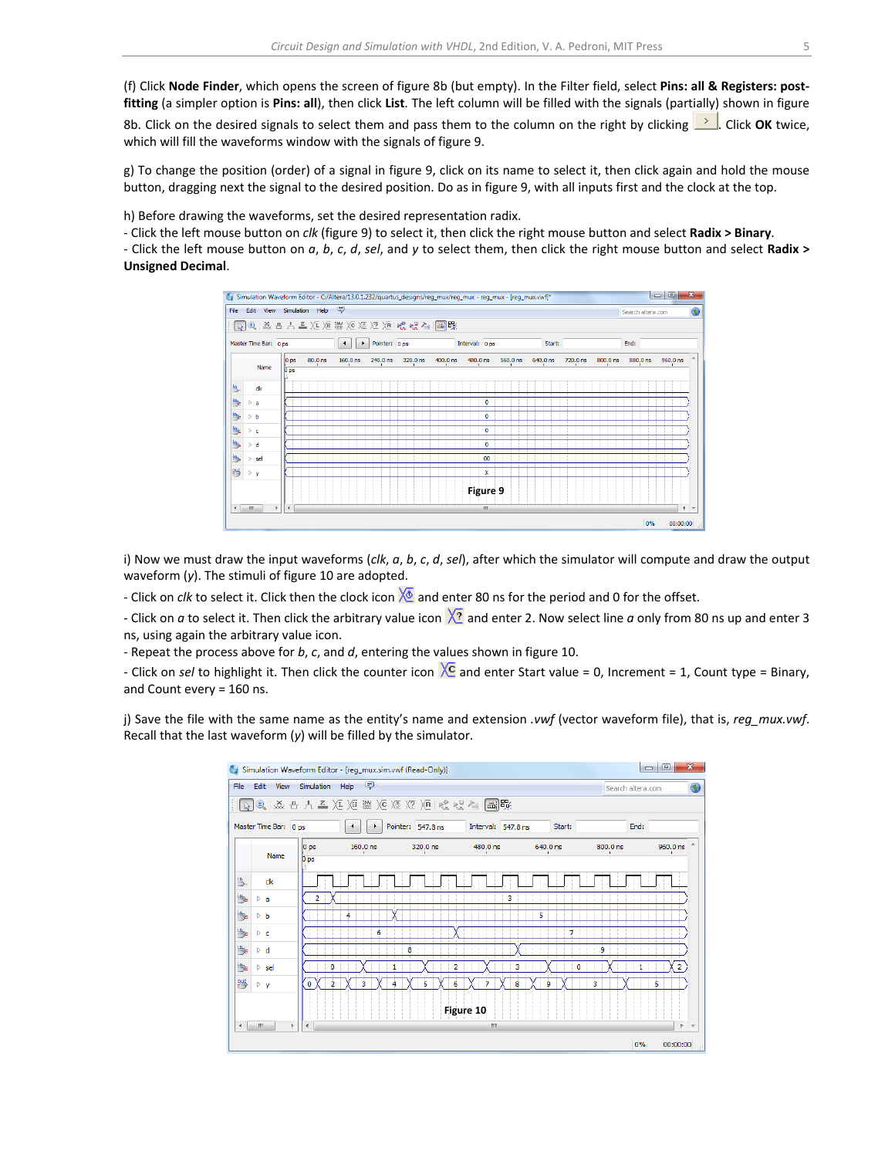(f) Click **Node Finder**, which opens the screen of figure 8b (but empty). In the Filter field, select **Pins: all & Registers: post‐ fitting** (a simpler option is **Pins: all**), then click **List**. The left column will be filled with the signals (partially) shown in figure

8b. Click on the desired signals to select them and pass them to the column on the right by clicking **...** Click OK twice, which will fill the waveforms window with the signals of figure 9.

g) To change the position (order) of a signal in figure 9, click on its name to select it, then click again and hold the mouse button, dragging next the signal to the desired position. Do as in figure 9, with all inputs first and the clock at the top.

h) Before drawing the waveforms, set the desired representation radix.

‐ Click the left mouse button on *clk* (figure 9) to select it, then click the right mouse button and select **Radix > Binary**.

‐ Click the left mouse button on *a*, *b*, *c*, *d*, *sel*, and *y* to select them, then click the right mouse button and select **Radix > Unsigned Decimal**.



i) Now we must draw the input waveforms (*clk*, *a*, *b*, *c*, *d*, *sel*), after which the simulator will compute and draw the output waveform (*y*). The stimuli of figure 10 are adopted.

- Click on *clk* to select it. Click then the clock icon  $\sqrt{2}$  and enter 80 ns for the period and 0 for the offset.

- Click on *a* to select it. Then click the arbitrary value icon  $\overline{X_2}$  and enter 2. Now select line *a* only from 80 ns up and enter 3 ns, using again the arbitrary value icon.

‐ Repeat the process above for *b*, *c*, and *d*, entering the values shown in figure 10.

- Click on *sel* to highlight it. Then click the counter icon  $\overline{X}$  and enter Start value = 0, Increment = 1, Count type = Binary, and Count every = 160 ns.

j) Save the file with the same name as the entity's name and extension *.vwf* (vector waveform file), that is, *reg\_mux.vwf*. Recall that the last waveform (*y*) will be filled by the simulator.

| $\mathbf{x}$<br>回<br>$\Box$<br>Simulation Waveform Editor - [reg_mux.sim.vwf (Read-Only)]<br>C. |                                                                                    |                 |          |                |                |                          |          |                |  |  |  |  |
|-------------------------------------------------------------------------------------------------|------------------------------------------------------------------------------------|-----------------|----------|----------------|----------------|--------------------------|----------|----------------|--|--|--|--|
| File                                                                                            | 同<br>Simulation<br>Edit<br>Help<br>View<br>Search altera.com                       |                 |          |                |                |                          |          |                |  |  |  |  |
|                                                                                                 | ■   蒸 凸 A 孟 )圧 )圧 嬲 )∈ )匛 )互 )∈   唬 唬 ?m   ■   曝                                   |                 |          |                |                |                          |          |                |  |  |  |  |
|                                                                                                 | Pointer: 547.8 ns<br>Interval: 547.8 ns<br>Master Time Bar: 0 ps<br>Start:<br>End: |                 |          |                |                |                          |          |                |  |  |  |  |
|                                                                                                 | Name                                                                               | $ 0 $ ps        | 160.0 ns | 320.0 ns       | 480.0 ns<br>×. | 640.0 ns<br>$\mathbf{I}$ | 800.0 ns | 960.0 ns<br>×. |  |  |  |  |
|                                                                                                 |                                                                                    | 0 <sub>ps</sub> |          |                |                |                          |          |                |  |  |  |  |
| jв.                                                                                             | dk                                                                                 |                 |          |                |                |                          |          |                |  |  |  |  |
| ₩                                                                                               | ⊳a                                                                                 | 2               |          |                | 3              |                          |          |                |  |  |  |  |
| b                                                                                               | $\triangleright$ b                                                                 |                 |          |                |                | 5                        |          |                |  |  |  |  |
| ib.                                                                                             | $\triangleright$ c                                                                 |                 | 6        |                |                | 7                        |          |                |  |  |  |  |
| 學                                                                                               | $\triangleright$ d                                                                 |                 |          | 8              |                |                          | ۹        |                |  |  |  |  |
| b                                                                                               | $\triangleright$ sel                                                               | Ō               |          | $\overline{2}$ | 3              | 0                        |          | 2              |  |  |  |  |
| 湂                                                                                               | $\triangleright$ y                                                                 | 2<br>o          |          | 6              | 8              | ۹                        | 3        | 5              |  |  |  |  |
|                                                                                                 |                                                                                    |                 |          |                | Figure 10      |                          |          |                |  |  |  |  |
| $\overline{ }$                                                                                  | m<br>r                                                                             | ∢               |          |                | m              |                          |          | ь              |  |  |  |  |
|                                                                                                 |                                                                                    |                 |          |                |                |                          | 0%       | 00:00:00       |  |  |  |  |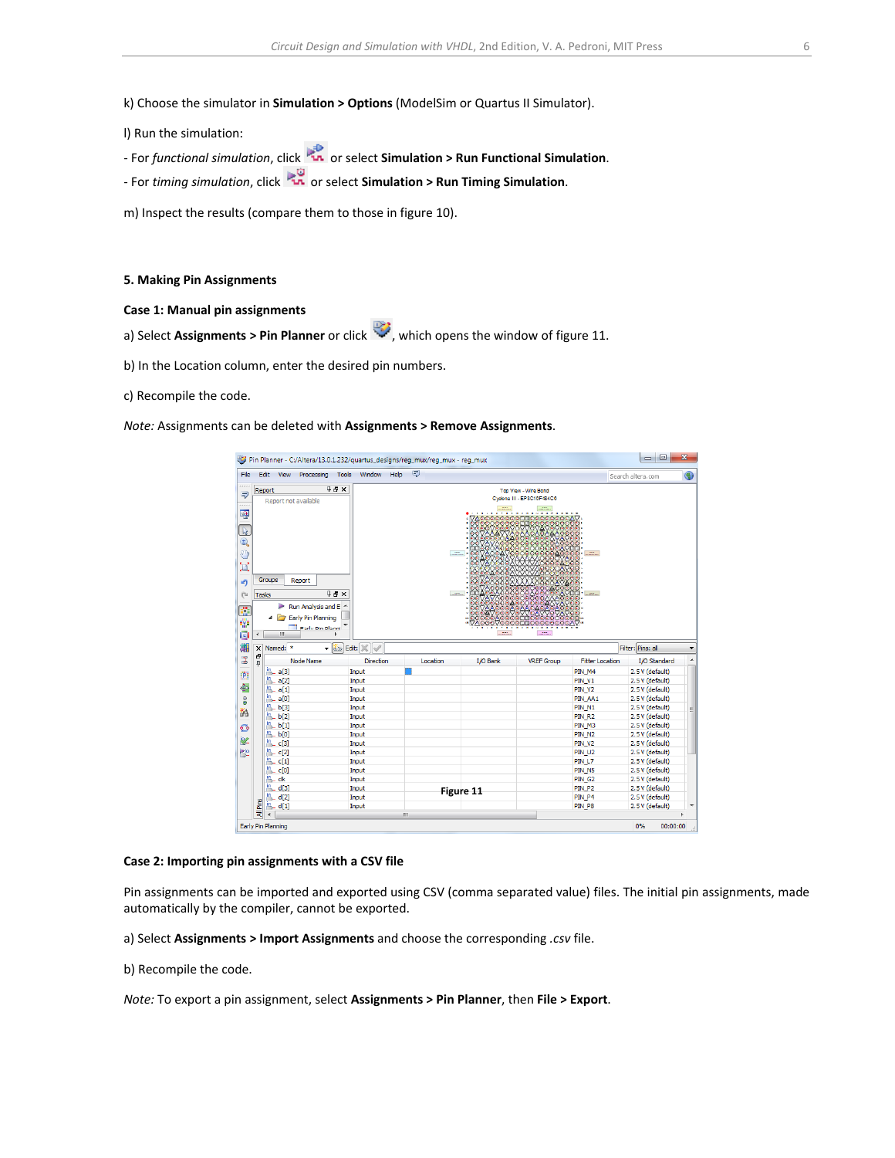## k) Choose the simulator in **Simulation > Options** (ModelSim or Quartus II Simulator).

l) Run the simulation:

- ‐ For *functional simulation*, click or select **Simulation > Run Functional Simulation**.
- ‐ For *timing simulation*, click or select **Simulation > Run Timing Simulation**.

m) Inspect the results (compare them to those in figure 10).

#### **5. Making Pin Assignments**

- **Case 1: Manual pin assignments**
- a) Select **Assignments** > **Pin Planner** or click , which opens the window of figure 11.
- b) In the Location column, enter the desired pin numbers.
- c) Recompile the code.

*Note:* Assignments can be deleted with **Assignments > Remove Assignments**.



#### **Case 2: Importing pin assignments with a CSV file**

Pin assignments can be imported and exported using CSV (comma separated value) files. The initial pin assignments, made automatically by the compiler, cannot be exported.

- a) Select **Assignments > Import Assignments** and choose the corresponding *.csv* file.
- b) Recompile the code.

*Note:* To export a pin assignment, select **Assignments > Pin Planner**, then **File > Export**.